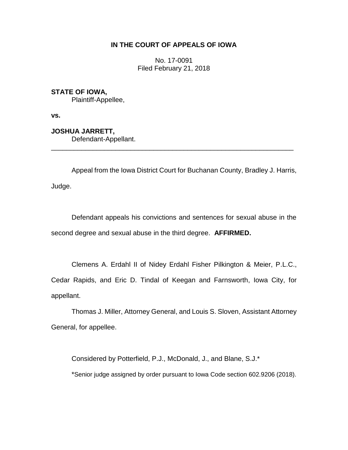# **IN THE COURT OF APPEALS OF IOWA**

No. 17-0091 Filed February 21, 2018

**STATE OF IOWA,**

Plaintiff-Appellee,

**vs.**

**JOSHUA JARRETT,** Defendant-Appellant.

Appeal from the Iowa District Court for Buchanan County, Bradley J. Harris, Judge.

\_\_\_\_\_\_\_\_\_\_\_\_\_\_\_\_\_\_\_\_\_\_\_\_\_\_\_\_\_\_\_\_\_\_\_\_\_\_\_\_\_\_\_\_\_\_\_\_\_\_\_\_\_\_\_\_\_\_\_\_\_\_\_\_

Defendant appeals his convictions and sentences for sexual abuse in the second degree and sexual abuse in the third degree. **AFFIRMED.**

Clemens A. Erdahl II of Nidey Erdahl Fisher Pilkington & Meier, P.L.C., Cedar Rapids, and Eric D. Tindal of Keegan and Farnsworth, Iowa City, for appellant.

Thomas J. Miller, Attorney General, and Louis S. Sloven, Assistant Attorney General, for appellee.

Considered by Potterfield, P.J., McDonald, J., and Blane, S.J.\* \*Senior judge assigned by order pursuant to Iowa Code section 602.9206 (2018).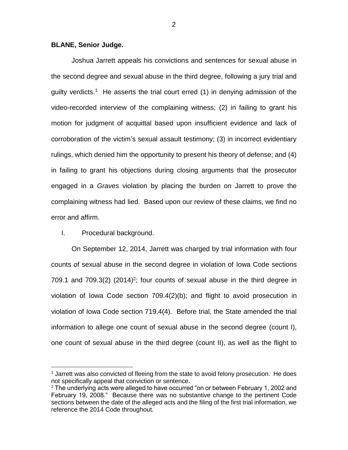### **BLANE, Senior Judge.**

Joshua Jarrett appeals his convictions and sentences for sexual abuse in the second degree and sexual abuse in the third degree, following a jury trial and guilty verdicts.<sup>1</sup> He asserts the trial court erred (1) in denying admission of the video-recorded interview of the complaining witness; (2) in failing to grant his motion for judgment of acquittal based upon insufficient evidence and lack of corroboration of the victim's sexual assault testimony; (3) in incorrect evidentiary rulings, which denied him the opportunity to present his theory of defense; and (4) in failing to grant his objections during closing arguments that the prosecutor engaged in a *Graves* violation by placing the burden on Jarrett to prove the complaining witness had lied. Based upon our review of these claims, we find no error and affirm.

## I. Procedural background.

 $\overline{a}$ 

On September 12, 2014, Jarrett was charged by trial information with four counts of sexual abuse in the second degree in violation of Iowa Code sections 709.1 and 709.3(2) (2014)<sup>2</sup>; four counts of sexual abuse in the third degree in violation of Iowa Code section 709.4(2)(b); and flight to avoid prosecution in violation of Iowa Code section 719.4(4). Before trial, the State amended the trial information to allege one count of sexual abuse in the second degree (count I), one count of sexual abuse in the third degree (count II), as well as the flight to

 $<sup>1</sup>$  Jarrett was also convicted of fleeing from the state to avoid felony prosecution. He does</sup> not specifically appeal that conviction or sentence.

 $2$  The underlying acts were alleged to have occurred "on or between February 1, 2002 and February 19, 2008." Because there was no substantive change to the pertinent Code sections between the date of the alleged acts and the filing of the first trial information, we reference the 2014 Code throughout.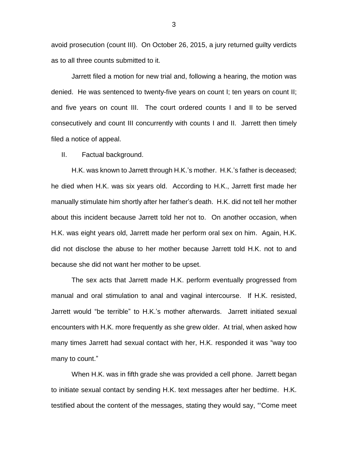avoid prosecution (count III). On October 26, 2015, a jury returned guilty verdicts as to all three counts submitted to it.

Jarrett filed a motion for new trial and, following a hearing, the motion was denied. He was sentenced to twenty-five years on count I; ten years on count II; and five years on count III. The court ordered counts I and II to be served consecutively and count III concurrently with counts I and II. Jarrett then timely filed a notice of appeal.

II. Factual background.

H.K. was known to Jarrett through H.K.'s mother. H.K.'s father is deceased; he died when H.K. was six years old. According to H.K., Jarrett first made her manually stimulate him shortly after her father's death. H.K. did not tell her mother about this incident because Jarrett told her not to. On another occasion, when H.K. was eight years old, Jarrett made her perform oral sex on him. Again, H.K. did not disclose the abuse to her mother because Jarrett told H.K. not to and because she did not want her mother to be upset.

The sex acts that Jarrett made H.K. perform eventually progressed from manual and oral stimulation to anal and vaginal intercourse. If H.K. resisted, Jarrett would "be terrible" to H.K.'s mother afterwards. Jarrett initiated sexual encounters with H.K. more frequently as she grew older. At trial, when asked how many times Jarrett had sexual contact with her, H.K. responded it was "way too many to count."

When H.K. was in fifth grade she was provided a cell phone. Jarrett began to initiate sexual contact by sending H.K. text messages after her bedtime. H.K. testified about the content of the messages, stating they would say, "'Come meet

3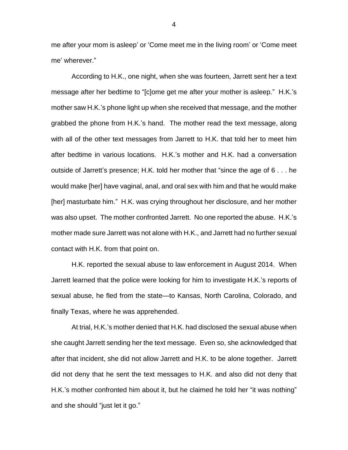me after your mom is asleep' or 'Come meet me in the living room' or 'Come meet me' wherever."

According to H.K., one night, when she was fourteen, Jarrett sent her a text message after her bedtime to "[c]ome get me after your mother is asleep." H.K.'s mother saw H.K.'s phone light up when she received that message, and the mother grabbed the phone from H.K.'s hand. The mother read the text message, along with all of the other text messages from Jarrett to H.K. that told her to meet him after bedtime in various locations. H.K.'s mother and H.K. had a conversation outside of Jarrett's presence; H.K. told her mother that "since the age of 6 . . . he would make [her] have vaginal, anal, and oral sex with him and that he would make [her] masturbate him." H.K. was crying throughout her disclosure, and her mother was also upset. The mother confronted Jarrett. No one reported the abuse. H.K.'s mother made sure Jarrett was not alone with H.K., and Jarrett had no further sexual contact with H.K. from that point on.

H.K. reported the sexual abuse to law enforcement in August 2014. When Jarrett learned that the police were looking for him to investigate H.K.'s reports of sexual abuse, he fled from the state—to Kansas, North Carolina, Colorado, and finally Texas, where he was apprehended.

At trial, H.K.'s mother denied that H.K. had disclosed the sexual abuse when she caught Jarrett sending her the text message. Even so, she acknowledged that after that incident, she did not allow Jarrett and H.K. to be alone together. Jarrett did not deny that he sent the text messages to H.K. and also did not deny that H.K.'s mother confronted him about it, but he claimed he told her "it was nothing" and she should "just let it go."

4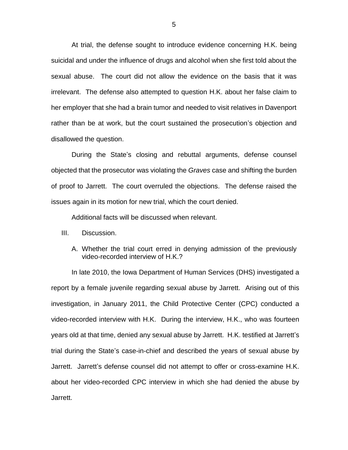At trial, the defense sought to introduce evidence concerning H.K. being suicidal and under the influence of drugs and alcohol when she first told about the sexual abuse. The court did not allow the evidence on the basis that it was irrelevant. The defense also attempted to question H.K. about her false claim to her employer that she had a brain tumor and needed to visit relatives in Davenport rather than be at work, but the court sustained the prosecution's objection and disallowed the question.

During the State's closing and rebuttal arguments, defense counsel objected that the prosecutor was violating the *Graves* case and shifting the burden of proof to Jarrett. The court overruled the objections. The defense raised the issues again in its motion for new trial, which the court denied.

Additional facts will be discussed when relevant.

- III. Discussion.
	- A. Whether the trial court erred in denying admission of the previously video-recorded interview of H.K.?

In late 2010, the Iowa Department of Human Services (DHS) investigated a report by a female juvenile regarding sexual abuse by Jarrett. Arising out of this investigation, in January 2011, the Child Protective Center (CPC) conducted a video-recorded interview with H.K. During the interview, H.K., who was fourteen years old at that time, denied any sexual abuse by Jarrett. H.K. testified at Jarrett's trial during the State's case-in-chief and described the years of sexual abuse by Jarrett. Jarrett's defense counsel did not attempt to offer or cross-examine H.K. about her video-recorded CPC interview in which she had denied the abuse by Jarrett.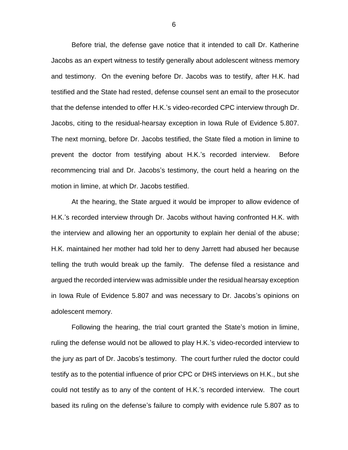Before trial, the defense gave notice that it intended to call Dr. Katherine Jacobs as an expert witness to testify generally about adolescent witness memory and testimony. On the evening before Dr. Jacobs was to testify, after H.K. had testified and the State had rested, defense counsel sent an email to the prosecutor that the defense intended to offer H.K.'s video-recorded CPC interview through Dr. Jacobs, citing to the residual-hearsay exception in Iowa Rule of Evidence 5.807. The next morning, before Dr. Jacobs testified, the State filed a motion in limine to prevent the doctor from testifying about H.K.'s recorded interview. Before recommencing trial and Dr. Jacobs's testimony, the court held a hearing on the motion in limine, at which Dr. Jacobs testified.

At the hearing, the State argued it would be improper to allow evidence of H.K.'s recorded interview through Dr. Jacobs without having confronted H.K. with the interview and allowing her an opportunity to explain her denial of the abuse; H.K. maintained her mother had told her to deny Jarrett had abused her because telling the truth would break up the family. The defense filed a resistance and argued the recorded interview was admissible under the residual hearsay exception in Iowa Rule of Evidence 5.807 and was necessary to Dr. Jacobs's opinions on adolescent memory.

Following the hearing, the trial court granted the State's motion in limine, ruling the defense would not be allowed to play H.K.'s video-recorded interview to the jury as part of Dr. Jacobs's testimony. The court further ruled the doctor could testify as to the potential influence of prior CPC or DHS interviews on H.K., but she could not testify as to any of the content of H.K.'s recorded interview. The court based its ruling on the defense's failure to comply with evidence rule 5.807 as to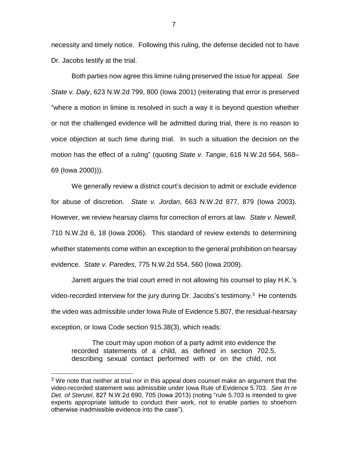necessity and timely notice. Following this ruling, the defense decided not to have Dr. Jacobs testify at the trial.

Both parties now agree this limine ruling preserved the issue for appeal. *See State v. Daly*, 623 N.W.2d 799, 800 (Iowa 2001) (reiterating that error is preserved "where a motion in limine is resolved in such a way it is beyond question whether or not the challenged evidence will be admitted during trial, there is no reason to voice objection at such time during trial. In such a situation the decision on the motion has the effect of a ruling" (quoting *State v. Tangie*, 616 N.W.2d 564, 568– 69 (Iowa 2000))).

We generally review a district court's decision to admit or exclude evidence for abuse of discretion. *State v. Jordan*, 663 N.W.2d 877, 879 (Iowa 2003). However, we review hearsay claims for correction of errors at law. *State v. Newell*, 710 N.W.2d 6, 18 (Iowa 2006). This standard of review extends to determining whether statements come within an exception to the general prohibition on hearsay evidence. *State v. Paredes*, 775 N.W.2d 554, 560 (Iowa 2009).

Jarrett argues the trial court erred in not allowing his counsel to play H.K.'s video-recorded interview for the jury during Dr. Jacobs's testimony.<sup>3</sup> He contends the video was admissible under Iowa Rule of Evidence 5.807, the residual-hearsay exception, or Iowa Code section 915.38(3), which reads:

The court may upon motion of a party admit into evidence the recorded statements of a child, as defined in section 702.5, describing sexual contact performed with or on the child, not

 $3$  We note that neither at trial nor in this appeal does counsel make an argument that the video-recorded statement was admissible under Iowa Rule of Evidence 5.703. *See In re Det. of Stenzel*, 827 N.W.2d 690, 705 (Iowa 2013) (noting ["rule 5.703](https://1.next.westlaw.com/Link/Document/FullText?findType=L&pubNum=1005683&cite=IAR5.703&originatingDoc=Ie074e50d828311e28a21ccb9036b2470&refType=LQ&originationContext=document&transitionType=DocumentItem&contextData=(sc.History*oc.Search)) is intended to give experts appropriate latitude to conduct their work, not to enable parties to shoehorn otherwise inadmissible evidence into the case").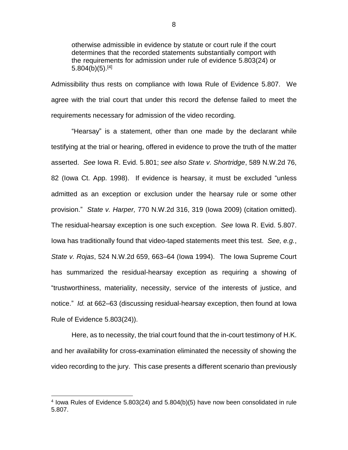otherwise admissible in evidence by statute or court rule if the court determines that the recorded statements substantially comport with the requirements for admission under rule of evidence 5.803(24) or  $5.804(b)(5)$ .[4]

Admissibility thus rests on compliance with Iowa Rule of Evidence 5.807. We agree with the trial court that under this record the defense failed to meet the requirements necessary for admission of the video recording.

"Hearsay" is a statement, other than one made by the declarant while testifying at the trial or hearing, offered in evidence to prove the truth of the matter asserted. *See* Iowa R. Evid. 5.801; *see also State v. Shortridge*, 589 N.W.2d 76, 82 (Iowa Ct. App. 1998). If evidence is hearsay, it must be excluded "unless admitted as an exception or exclusion under the hearsay rule or some other provision." *State v. Harper,* 770 N.W.2d 316, 319 (Iowa 2009) (citation omitted). The residual-hearsay exception is one such exception. *See* Iowa R. Evid. 5.807. Iowa has traditionally found that video-taped statements meet this test. *See, e.g.*, *State v. Rojas*, 524 N.W.2d 659, 663–64 (Iowa 1994). The Iowa Supreme Court has summarized the residual-hearsay exception as requiring a showing of "trustworthiness, materiality, necessity, service of the interests of justice, and notice." *Id.* at 662–63 (discussing residual-hearsay exception, then found at Iowa Rule of Evidence 5.803(24)).

Here, as to necessity, the trial court found that the in-court testimony of H.K. and her availability for cross-examination eliminated the necessity of showing the video recording to the jury. This case presents a different scenario than previously

<sup>&</sup>lt;sup>4</sup> lowa Rules of Evidence 5.803(24) and 5.804(b)(5) have now been consolidated in rule 5.807.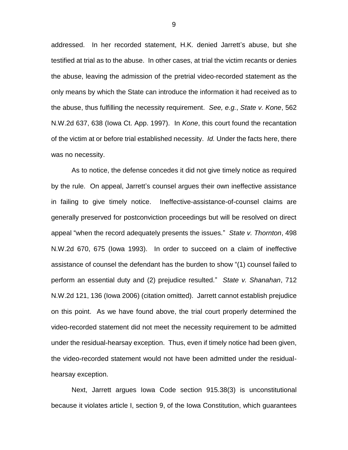addressed. In her recorded statement, H.K. denied Jarrett's abuse, but she testified at trial as to the abuse. In other cases, at trial the victim recants or denies the abuse, leaving the admission of the pretrial video-recorded statement as the only means by which the State can introduce the information it had received as to the abuse, thus fulfilling the necessity requirement. *See, e.g.*, *State v. Kone*, 562 N.W.2d 637, 638 (Iowa Ct. App. 1997). In *Kone*, this court found the recantation of the victim at or before trial established necessity. *Id.* Under the facts here, there was no necessity.

As to notice, the defense concedes it did not give timely notice as required by the rule. On appeal, Jarrett's counsel argues their own ineffective assistance in failing to give timely notice. Ineffective-assistance-of-counsel claims are generally preserved for postconviction proceedings but will be resolved on direct appeal "when the record adequately presents the issues." *State v. Thornton*, 498 N.W.2d 670, 675 (Iowa 1993). In order to succeed on a claim of ineffective assistance of counsel the defendant has the burden to show "(1) counsel failed to perform an essential duty and (2) prejudice resulted." *State v. Shanahan*, 712 N.W.2d 121, 136 (Iowa 2006) (citation omitted). Jarrett cannot establish prejudice on this point. As we have found above, the trial court properly determined the video-recorded statement did not meet the necessity requirement to be admitted under the residual-hearsay exception. Thus, even if timely notice had been given, the video-recorded statement would not have been admitted under the residualhearsay exception.

Next, Jarrett argues Iowa Code section 915.38(3) is unconstitutional because it violates article I, section 9, of the Iowa Constitution, which guarantees

9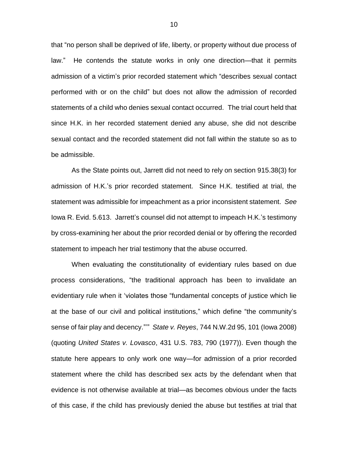that "no person shall be deprived of life, liberty, or property without due process of law." He contends the statute works in only one direction—that it permits admission of a victim's prior recorded statement which "describes sexual contact performed with or on the child" but does not allow the admission of recorded statements of a child who denies sexual contact occurred. The trial court held that since H.K. in her recorded statement denied any abuse, she did not describe sexual contact and the recorded statement did not fall within the statute so as to be admissible.

As the State points out, Jarrett did not need to rely on section 915.38(3) for admission of H.K.'s prior recorded statement. Since H.K. testified at trial, the statement was admissible for impeachment as a prior inconsistent statement. *See* Iowa R. Evid. 5.613. Jarrett's counsel did not attempt to impeach H.K.'s testimony by cross-examining her about the prior recorded denial or by offering the recorded statement to impeach her trial testimony that the abuse occurred.

When evaluating the constitutionality of evidentiary rules based on due process considerations, "the traditional approach has been to invalidate an evidentiary rule when it 'violates those "fundamental concepts of justice which lie at the base of our civil and political institutions," which define "the community's sense of fair play and decency."'" *State v. Reyes*, 744 N.W.2d 95, 101 (Iowa 2008) (quoting *United States v. Lovasco*, 431 U.S. 783, 790 (1977)). Even though the statute here appears to only work one way—for admission of a prior recorded statement where the child has described sex acts by the defendant when that evidence is not otherwise available at trial—as becomes obvious under the facts of this case, if the child has previously denied the abuse but testifies at trial that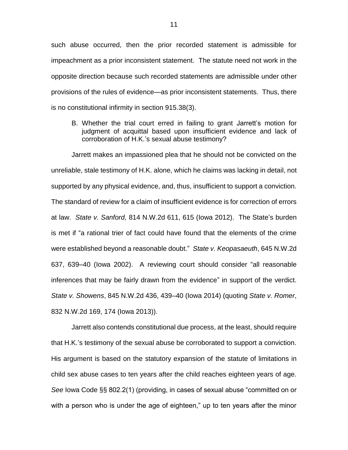such abuse occurred, then the prior recorded statement is admissible for impeachment as a prior inconsistent statement. The statute need not work in the opposite direction because such recorded statements are admissible under other provisions of the rules of evidence—as prior inconsistent statements. Thus, there is no constitutional infirmity in section 915.38(3).

B. Whether the trial court erred in failing to grant Jarrett's motion for judgment of acquittal based upon insufficient evidence and lack of corroboration of H.K.'s sexual abuse testimony?

Jarrett makes an impassioned plea that he should not be convicted on the unreliable, stale testimony of H.K. alone, which he claims was lacking in detail, not supported by any physical evidence, and, thus, insufficient to support a conviction. The standard of review for a claim of insufficient evidence is for correction of errors at law. *State v. Sanford,* 814 N.W.2d 611, 615 (Iowa 2012). The State's burden is met if "a rational trier of fact could have found that the elements of the crime were established beyond a reasonable doubt." *State v. Keopasaeuth*, 645 N.W.2d 637, 639–40 (Iowa 2002). A reviewing court should consider "all reasonable inferences that may be fairly drawn from the evidence" in support of the verdict. *State v. Showens*, 845 N.W.2d 436, 439–40 (Iowa 2014) (quoting *State v. Romer*, 832 N.W.2d 169, 174 (Iowa 2013)).

Jarrett also contends constitutional due process, at the least, should require that H.K.'s testimony of the sexual abuse be corroborated to support a conviction. His argument is based on the statutory expansion of the statute of limitations in child sex abuse cases to ten years after the child reaches eighteen years of age. *See* Iowa Code §§ 802.2(1) (providing, in cases of sexual abuse "committed on or with a person who is under the age of eighteen," up to ten years after the minor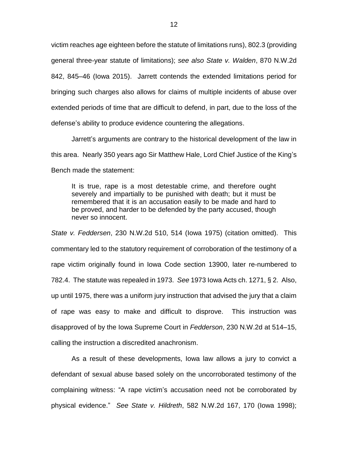victim reaches age eighteen before the statute of limitations runs), 802.3 (providing general three-year statute of limitations); *see also State v. Walden*, 870 N.W.2d 842, 845–46 (Iowa 2015). Jarrett contends the extended limitations period for bringing such charges also allows for claims of multiple incidents of abuse over extended periods of time that are difficult to defend, in part, due to the loss of the defense's ability to produce evidence countering the allegations.

Jarrett's arguments are contrary to the historical development of the law in this area. Nearly 350 years ago Sir Matthew Hale, Lord Chief Justice of the King's Bench made the statement:

It is true, rape is a most detestable crime, and therefore ought severely and impartially to be punished with death; but it must be remembered that it is an accusation easily to be made and hard to be proved, and harder to be defended by the party accused, though never so innocent.

*State v. Feddersen*, 230 N.W.2d 510, 514 (Iowa 1975) (citation omitted). This commentary led to the statutory requirement of corroboration of the testimony of a rape victim originally found in Iowa Code section 13900, later re-numbered to 782.4. The statute was repealed in 1973. *See* 1973 Iowa Acts ch. 1271, § 2. Also, up until 1975, there was a uniform jury instruction that advised the jury that a claim of rape was easy to make and difficult to disprove. This instruction was disapproved of by the Iowa Supreme Court in *Fedderson*, 230 N.W.2d at 514–15, calling the instruction a discredited anachronism.

As a result of these developments, Iowa law allows a jury to convict a defendant of sexual abuse based solely on the uncorroborated testimony of the complaining witness: "A rape victim's accusation need not be corroborated by physical evidence." *See State v. Hildreth*, 582 N.W.2d 167, 170 (Iowa 1998);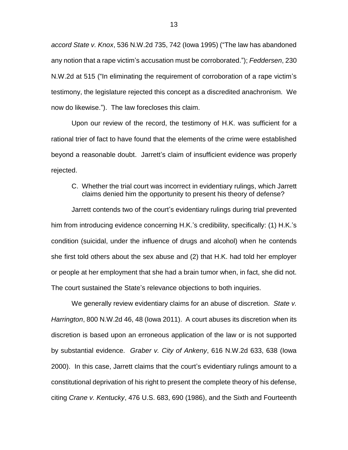*accord State v. Knox*, 536 N.W.2d 735, 742 (Iowa 1995) ("The law has abandoned any notion that a rape victim's accusation must be corroborated."); *Feddersen*, 230 N.W.2d at 515 ("In eliminating the requirement of corroboration of a rape victim's testimony, the legislature rejected this concept as a discredited anachronism. We now do likewise."). The law forecloses this claim.

Upon our review of the record, the testimony of H.K. was sufficient for a rational trier of fact to have found that the elements of the crime were established beyond a reasonable doubt. Jarrett's claim of insufficient evidence was properly rejected.

# C. Whether the trial court was incorrect in evidentiary rulings, which Jarrett claims denied him the opportunity to present his theory of defense?

Jarrett contends two of the court's evidentiary rulings during trial prevented him from introducing evidence concerning H.K.'s credibility, specifically: (1) H.K.'s condition (suicidal, under the influence of drugs and alcohol) when he contends she first told others about the sex abuse and (2) that H.K. had told her employer or people at her employment that she had a brain tumor when, in fact, she did not. The court sustained the State's relevance objections to both inquiries.

We generally review evidentiary claims for an abuse of discretion. *State v. Harrington*, 800 N.W.2d 46, 48 (Iowa 2011). A court abuses its discretion when its discretion is based upon an erroneous application of the law or is not supported by substantial evidence. *Graber v. City of Ankeny*, 616 N.W.2d 633, 638 (Iowa 2000). In this case, Jarrett claims that the court's evidentiary rulings amount to a constitutional deprivation of his right to present the complete theory of his defense, citing *Crane v. Kentucky*, 476 U.S. 683, 690 (1986), and the Sixth and Fourteenth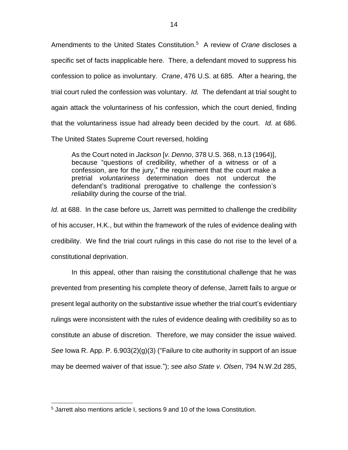Amendments to the United States Constitution.<sup>5</sup> A review of *Crane* discloses a specific set of facts inapplicable here. There, a defendant moved to suppress his confession to police as involuntary. *Crane*, 476 U.S. at 685. After a hearing, the trial court ruled the confession was voluntary. *Id.* The defendant at trial sought to again attack the voluntariness of his confession, which the court denied, finding that the voluntariness issue had already been decided by the court. *Id.* at 686. The United States Supreme Court reversed, holding

As the Court noted in *Jackson* [*v. Denno*, 378 U.S. 368, n.13 (1964)], because "questions of credibility, whether of a witness or of a confession, are for the jury," the requirement that the court make a pretrial *voluntariness* determination does not undercut the defendant's traditional prerogative to challenge the confession's *reliability* during the course of the trial.

*Id.* at 688. In the case before us, Jarrett was permitted to challenge the credibility of his accuser, H.K., but within the framework of the rules of evidence dealing with credibility. We find the trial court rulings in this case do not rise to the level of a constitutional deprivation.

In this appeal, other than raising the constitutional challenge that he was prevented from presenting his complete theory of defense, Jarrett fails to argue or present legal authority on the substantive issue whether the trial court's evidentiary rulings were inconsistent with the rules of evidence dealing with credibility so as to constitute an abuse of discretion. Therefore, we may consider the issue waived. *See* Iowa R. App. P. 6.903(2)(g)(3) ("Failure to cite authority in support of an issue may be deemed waiver of that issue."); *see also State v. Olsen*, 794 N.W.2d 285,

<sup>5</sup> Jarrett also mentions article I, sections 9 and 10 of the Iowa Constitution.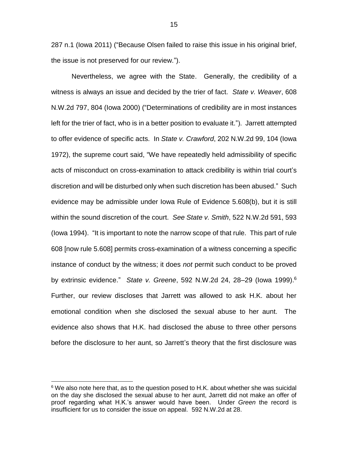287 n.1 (Iowa 2011) ("Because Olsen failed to raise this issue in his original brief, the issue is not preserved for our review.").

Nevertheless, we agree with the State. Generally, the credibility of a witness is always an issue and decided by the trier of fact. *State v. Weaver*, 608 N.W.2d 797, 804 (Iowa 2000) ("Determinations of credibility are in most instances left for the trier of fact, who is in a better position to evaluate it."). Jarrett attempted to offer evidence of specific acts. In *State v. Crawford*, 202 N.W.2d 99, 104 (Iowa 1972), the supreme court said, "We have repeatedly held admissibility of specific acts of misconduct on cross-examination to attack credibility is within trial court's discretion and will be disturbed only when such discretion has been abused." Such evidence may be admissible under Iowa Rule of Evidence 5.608(b), but it is still within the sound discretion of the court. *See State v. Smith*, 522 N.W.2d 591, 593 (Iowa 1994). "It is important to note the narrow scope of that rule. This part of rule 608 [now rule 5.608] permits cross-examination of a witness concerning a specific instance of conduct by the witness; it does *not* permit such conduct to be proved by extrinsic evidence." *State v. Greene*, 592 N.W.2d 24, 28–29 (Iowa 1999). 6 Further, our review discloses that Jarrett was allowed to ask H.K. about her emotional condition when she disclosed the sexual abuse to her aunt. The evidence also shows that H.K. had disclosed the abuse to three other persons before the disclosure to her aunt, so Jarrett's theory that the first disclosure was

 $6$  We also note here that, as to the question posed to H.K. about whether she was suicidal on the day she disclosed the sexual abuse to her aunt, Jarrett did not make an offer of proof regarding what H.K.'s answer would have been. Under *Green* the record is insufficient for us to consider the issue on appeal. 592 N.W.2d at 28.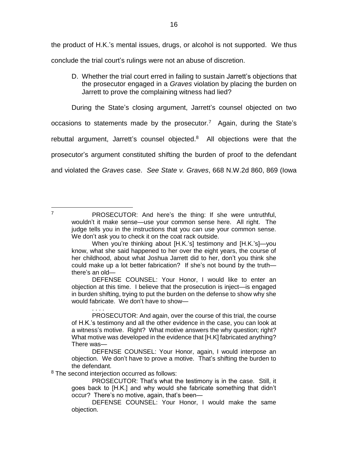the product of H.K.'s mental issues, drugs, or alcohol is not supported. We thus conclude the trial court's rulings were not an abuse of discretion.

D. Whether the trial court erred in failing to sustain Jarrett's objections that the prosecutor engaged in a *Graves* violation by placing the burden on Jarrett to prove the complaining witness had lied?

During the State's closing argument, Jarrett's counsel objected on two occasions to statements made by the prosecutor.<sup>7</sup> Again, during the State's rebuttal argument, Jarrett's counsel objected. $8$  All objections were that the prosecutor's argument constituted shifting the burden of proof to the defendant and violated the *Graves* case. *See State v. Graves*, 668 N.W.2d 860, 869 (Iowa

 $\overline{7}$ 

DEFENSE COUNSEL: Your Honor, I would like to enter an objection at this time. I believe that the prosecution is inject—is engaged in burden shifting, trying to put the burden on the defense to show why she would fabricate. We don't have to show—

<sup>8</sup> The second interjection occurred as follows:

. . . .

PROSECUTOR: And here's the thing: If she were untruthful, wouldn't it make sense—use your common sense here. All right. The judge tells you in the instructions that you can use your common sense. We don't ask you to check it on the coat rack outside.

When you're thinking about [H.K.'s] testimony and [H.K.'s]—you know, what she said happened to her over the eight years, the course of her childhood, about what Joshua Jarrett did to her, don't you think she could make up a lot better fabrication? If she's not bound by the truth there's an old—

PROSECUTOR: And again, over the course of this trial, the course of H.K.'s testimony and all the other evidence in the case, you can look at a witness's motive. Right? What motive answers the why question; right? What motive was developed in the evidence that [H.K] fabricated anything? There was—

DEFENSE COUNSEL: Your Honor, again, I would interpose an objection. We don't have to prove a motive. That's shifting the burden to the defendant.

PROSECUTOR: That's what the testimony is in the case. Still, it goes back to [H.K.] and why would she fabricate something that didn't occur? There's no motive, again, that's been—

DEFENSE COUNSEL: Your Honor, I would make the same objection.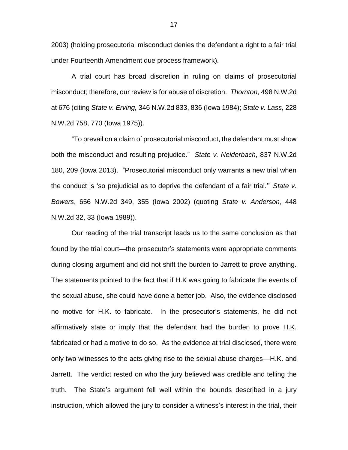2003) (holding prosecutorial misconduct denies the defendant a right to a fair trial under Fourteenth Amendment due process framework).

A trial court has broad discretion in ruling on claims of prosecutorial misconduct; therefore, our review is for abuse of discretion. *Thornton*, 498 N.W.2d at 676 (citing *State v. Erving,* 346 N.W.2d 833, 836 (Iowa 1984); *State v. Lass,* 228 N.W.2d 758, 770 (Iowa 1975)).

"To prevail on a claim of prosecutorial misconduct, the defendant must show both the misconduct and resulting prejudice." *State v. Neiderbach*, 837 N.W.2d 180, 209 (Iowa 2013). "Prosecutorial misconduct only warrants a new trial when the conduct is 'so prejudicial as to deprive the defendant of a fair trial.'" *State v. Bowers*, 656 N.W.2d 349, 355 (Iowa 2002) (quoting *State v. Anderson*, 448 N.W.2d 32, 33 (Iowa 1989)).

Our reading of the trial transcript leads us to the same conclusion as that found by the trial court—the prosecutor's statements were appropriate comments during closing argument and did not shift the burden to Jarrett to prove anything. The statements pointed to the fact that if H.K was going to fabricate the events of the sexual abuse, she could have done a better job. Also, the evidence disclosed no motive for H.K. to fabricate. In the prosecutor's statements, he did not affirmatively state or imply that the defendant had the burden to prove H.K. fabricated or had a motive to do so. As the evidence at trial disclosed, there were only two witnesses to the acts giving rise to the sexual abuse charges—H.K. and Jarrett. The verdict rested on who the jury believed was credible and telling the truth. The State's argument fell well within the bounds described in a jury instruction, which allowed the jury to consider a witness's interest in the trial, their